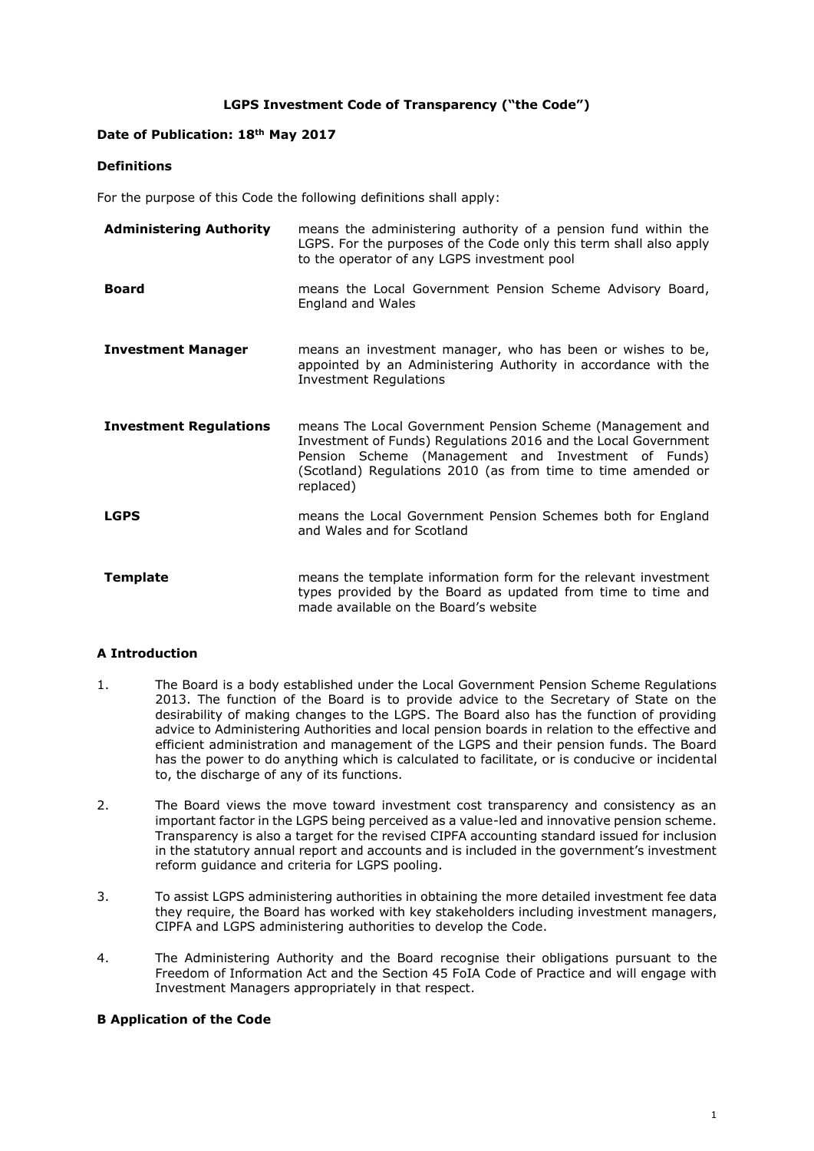## **LGPS Investment Code of Transparency ("the Code")**

# **Date of Publication: 18th May 2017**

## **Definitions**

For the purpose of this Code the following definitions shall apply:

| <b>Administering Authority</b> | means the administering authority of a pension fund within the<br>LGPS. For the purposes of the Code only this term shall also apply<br>to the operator of any LGPS investment pool                                                                             |
|--------------------------------|-----------------------------------------------------------------------------------------------------------------------------------------------------------------------------------------------------------------------------------------------------------------|
| <b>Board</b>                   | means the Local Government Pension Scheme Advisory Board,<br>England and Wales                                                                                                                                                                                  |
| <b>Investment Manager</b>      | means an investment manager, who has been or wishes to be,<br>appointed by an Administering Authority in accordance with the<br><b>Investment Regulations</b>                                                                                                   |
| <b>Investment Regulations</b>  | means The Local Government Pension Scheme (Management and<br>Investment of Funds) Regulations 2016 and the Local Government<br>Pension Scheme (Management and Investment of Funds)<br>(Scotland) Regulations 2010 (as from time to time amended or<br>replaced) |
| <b>LGPS</b>                    | means the Local Government Pension Schemes both for England<br>and Wales and for Scotland                                                                                                                                                                       |
| <b>Template</b>                | means the template information form for the relevant investment<br>types provided by the Board as updated from time to time and<br>made available on the Board's website                                                                                        |

## **A Introduction**

- 1. The Board is a body established under the Local Government Pension Scheme Regulations 2013. The function of the Board is to provide advice to the Secretary of State on the desirability of making changes to the LGPS. The Board also has the function of providing advice to Administering Authorities and local pension boards in relation to the effective and efficient administration and management of the LGPS and their pension funds. The Board has the power to do anything which is calculated to facilitate, or is conducive or incidental to, the discharge of any of its functions.
- 2. The Board views the move toward investment cost transparency and consistency as an important factor in the LGPS being perceived as a value-led and innovative pension scheme. Transparency is also a target for the revised CIPFA accounting standard issued for inclusion in the statutory annual report and accounts and is included in the government's investment reform guidance and criteria for LGPS pooling.
- 3. To assist LGPS administering authorities in obtaining the more detailed investment fee data they require, the Board has worked with key stakeholders including investment managers, CIPFA and LGPS administering authorities to develop the Code.
- 4. The Administering Authority and the Board recognise their obligations pursuant to the Freedom of Information Act and the Section 45 FoIA Code of Practice and will engage with Investment Managers appropriately in that respect.

#### **B Application of the Code**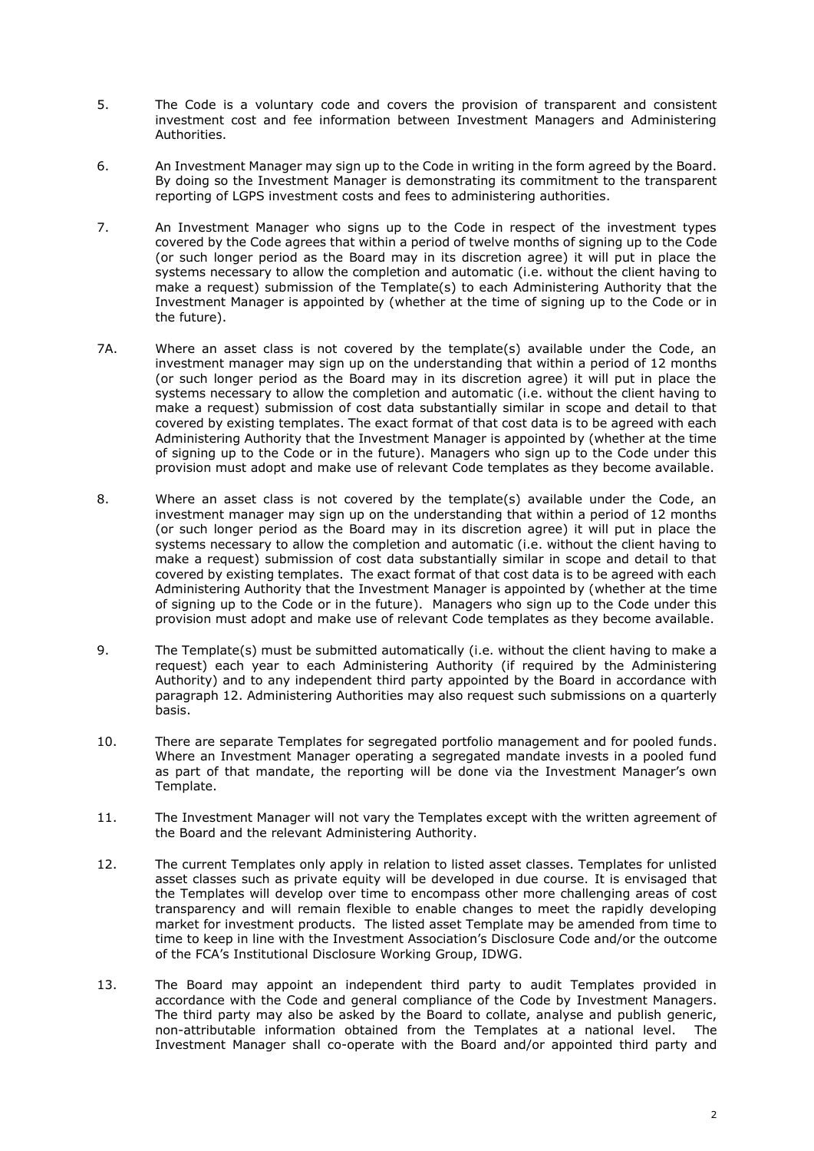- 5. The Code is a voluntary code and covers the provision of transparent and consistent investment cost and fee information between Investment Managers and Administering Authorities.
- 6. An Investment Manager may sign up to the Code in writing in the form agreed by the Board. By doing so the Investment Manager is demonstrating its commitment to the transparent reporting of LGPS investment costs and fees to administering authorities.
- 7. An Investment Manager who signs up to the Code in respect of the investment types covered by the Code agrees that within a period of twelve months of signing up to the Code (or such longer period as the Board may in its discretion agree) it will put in place the systems necessary to allow the completion and automatic (i.e. without the client having to make a request) submission of the Template(s) to each Administering Authority that the Investment Manager is appointed by (whether at the time of signing up to the Code or in the future).
- 7A. Where an asset class is not covered by the template(s) available under the Code, an investment manager may sign up on the understanding that within a period of 12 months (or such longer period as the Board may in its discretion agree) it will put in place the systems necessary to allow the completion and automatic (i.e. without the client having to make a request) submission of cost data substantially similar in scope and detail to that covered by existing templates. The exact format of that cost data is to be agreed with each Administering Authority that the Investment Manager is appointed by (whether at the time of signing up to the Code or in the future). Managers who sign up to the Code under this provision must adopt and make use of relevant Code templates as they become available.
- 8. Where an asset class is not covered by the template(s) available under the Code, an investment manager may sign up on the understanding that within a period of 12 months (or such longer period as the Board may in its discretion agree) it will put in place the systems necessary to allow the completion and automatic (i.e. without the client having to make a request) submission of cost data substantially similar in scope and detail to that covered by existing templates. The exact format of that cost data is to be agreed with each Administering Authority that the Investment Manager is appointed by (whether at the time of signing up to the Code or in the future). Managers who sign up to the Code under this provision must adopt and make use of relevant Code templates as they become available.
- 9. The Template(s) must be submitted automatically (i.e. without the client having to make a request) each year to each Administering Authority (if required by the Administering Authority) and to any independent third party appointed by the Board in accordance with paragraph 12. Administering Authorities may also request such submissions on a quarterly basis.
- 10. There are separate Templates for segregated portfolio management and for pooled funds. Where an Investment Manager operating a segregated mandate invests in a pooled fund as part of that mandate, the reporting will be done via the Investment Manager's own Template.
- 11. The Investment Manager will not vary the Templates except with the written agreement of the Board and the relevant Administering Authority.
- 12. The current Templates only apply in relation to listed asset classes. Templates for unlisted asset classes such as private equity will be developed in due course. It is envisaged that the Templates will develop over time to encompass other more challenging areas of cost transparency and will remain flexible to enable changes to meet the rapidly developing market for investment products. The listed asset Template may be amended from time to time to keep in line with the Investment Association's Disclosure Code and/or the outcome of the FCA's Institutional Disclosure Working Group, IDWG.
- 13. The Board may appoint an independent third party to audit Templates provided in accordance with the Code and general compliance of the Code by Investment Managers. The third party may also be asked by the Board to collate, analyse and publish generic, non-attributable information obtained from the Templates at a national level. The Investment Manager shall co-operate with the Board and/or appointed third party and